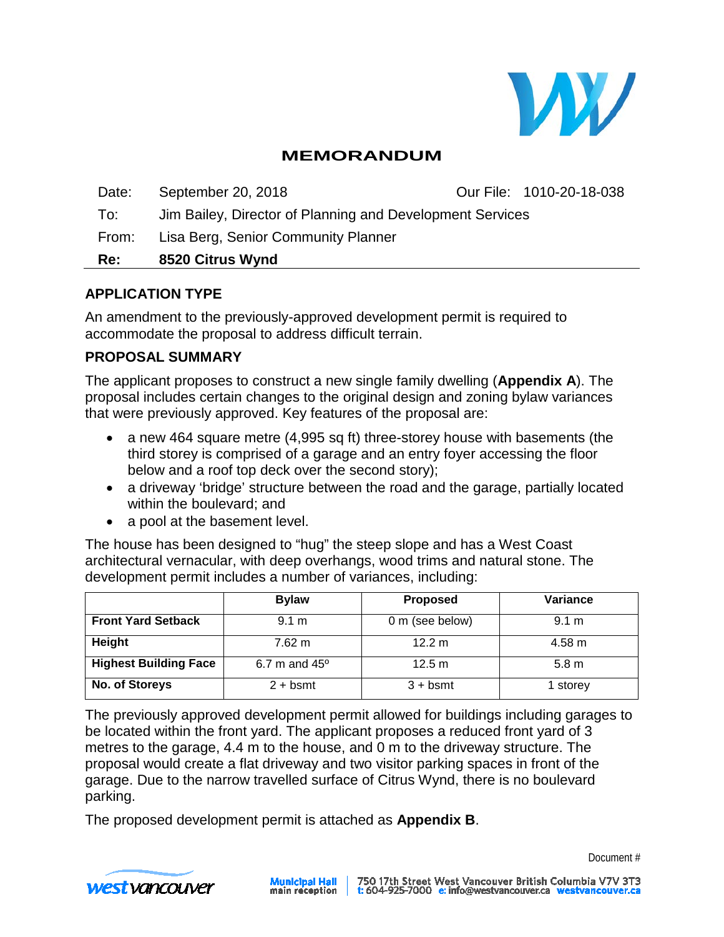

# **MEMORANDUM**

Date: September 20, 2018 **Our File: 1010-20-18-038** To: Jim Bailey, Director of Planning and Development Services From: Lisa Berg, Senior Community Planner **Re: 8520 Citrus Wynd**

#### **APPLICATION TYPE**

An amendment to the previously-approved development permit is required to accommodate the proposal to address difficult terrain.

#### **PROPOSAL SUMMARY**

The applicant proposes to construct a new single family dwelling (**Appendix A**). The proposal includes certain changes to the original design and zoning bylaw variances that were previously approved. Key features of the proposal are:

- a new 464 square metre (4,995 sq ft) three-storey house with basements (the third storey is comprised of a garage and an entry foyer accessing the floor below and a roof top deck over the second story);
- a driveway 'bridge' structure between the road and the garage, partially located within the boulevard; and
- a pool at the basement level.

The house has been designed to "hug" the steep slope and has a West Coast architectural vernacular, with deep overhangs, wood trims and natural stone. The development permit includes a number of variances, including:

|                              | <b>Bylaw</b>         | <b>Proposed</b> | Variance         |
|------------------------------|----------------------|-----------------|------------------|
| <b>Front Yard Setback</b>    | 9.1 m                | 0 m (see below) | 9.1 m            |
| Height                       | $7.62 \text{ m}$     | 12.2 m          | $4.58 \text{ m}$ |
| <b>Highest Building Face</b> | 6.7 m and $45^\circ$ | 12.5 m          | 5.8 <sub>m</sub> |
| No. of Storeys               | $2 + b$ smt          | $3 + b$ smt     | 1 storey         |

The previously approved development permit allowed for buildings including garages to be located within the front yard. The applicant proposes a reduced front yard of 3 metres to the garage, 4.4 m to the house, and 0 m to the driveway structure. The proposal would create a flat driveway and two visitor parking spaces in front of the garage. Due to the narrow travelled surface of Citrus Wynd, there is no boulevard parking.

The proposed development permit is attached as **Appendix B**.



Document #